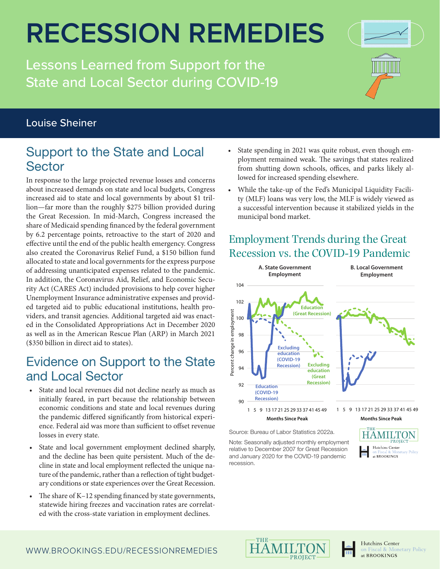## **RECESSION REMEDIES**

Lessons Learned from Support for the State and Local Sector during COVID-19



#### Louise Sheiner

### Support to the State and Local **Sector**

In response to the large projected revenue losses and concerns about increased demands on state and local budgets, Congress increased aid to state and local governments by about \$1 trillion—far more than the roughly \$275 billion provided during the Great Recession. In mid-March, Congress increased the share of Medicaid spending financed by the federal government by 6.2 percentage points, retroactive to the start of 2020 and effective until the end of the public health emergency. Congress also created the Coronavirus Relief Fund, a \$150 billion fund allocated to state and local governments for the express purpose of addressing unanticipated expenses related to the pandemic. In addition, the Coronavirus Aid, Relief, and Economic Security Act (CARES Act) included provisions to help cover higher Unemployment Insurance administrative expenses and provided targeted aid to public educational institutions, health providers, and transit agencies. Additional targeted aid was enacted in the Consolidated Appropriations Act in December 2020 as well as in the American Rescue Plan (ARP) in March 2021 (\$350 billion in direct aid to states).

#### Evidence on Support to the State and Local Sector

- State and local revenues did not decline nearly as much as initially feared, in part because the relationship between economic conditions and state and local revenues during the pandemic differed significantly from historical experience. Federal aid was more than sufficient to offset revenue losses in every state.
- State and local government employment declined sharply, and the decline has been quite persistent. Much of the decline in state and local employment reflected the unique nature of the pandemic, rather than a reflection of tight budgetary conditions or state experiences over the Great Recession.
- The share of K–12 spending financed by state governments, statewide hiring freezes and vaccination rates are correlated with the cross-state variation in employment declines.
- State spending in 2021 was quite robust, even though employment remained weak. The savings that states realized from shutting down schools, offices, and parks likely allowed for increased spending elsewhere.
- While the take-up of the Fed's Municipal Liquidity Facility (MLF) loans was very low, the MLF is widely viewed as a successful intervention because it stabilized yields in the municipal bond market.

#### Employment Trends during the Great Recession vs. the COVID-19 Pandemic



Source: Bureau of Labor Statistics 2022a.

Note: Seasonally adjusted monthly employment relative to December 2007 for Great Recession and January 2020 for the COVID-19 pandemic recession.